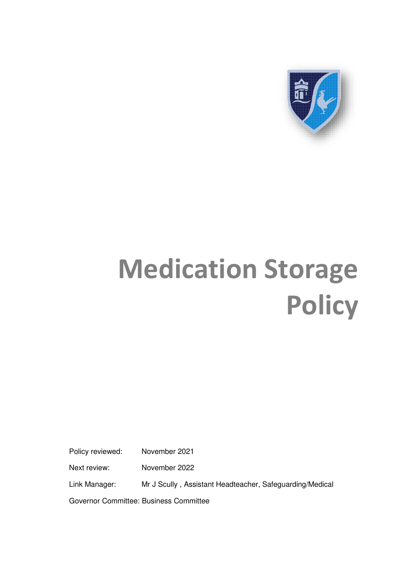

## **Medication Storage Policy**

Policy reviewed: November 2021

Next review: November 2022

Link Manager: Mr J Scully , Assistant Headteacher, Safeguarding/Medical

Governor Committee: Business Committee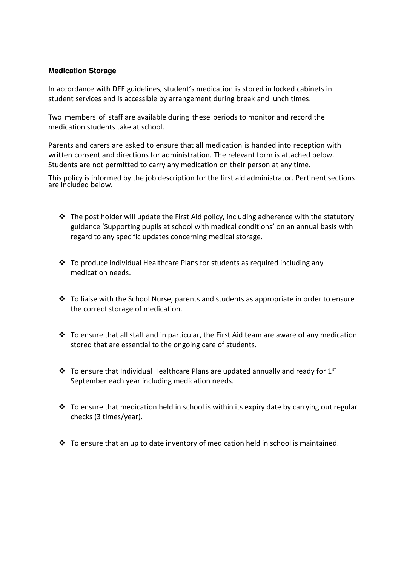## **Medication Storage**

In accordance with DFE guidelines, student's medication is stored in locked cabinets in student services and is accessible by arrangement during break and lunch times.

Two members of staff are available during these periods to monitor and record the medication students take at school.

Parents and carers are asked to ensure that all medication is handed into reception with written consent and directions for administration. The relevant form is attached below. Students are not permitted to carry any medication on their person at any time.

This policy is informed by the job description for the first aid administrator. Pertinent sections are included below.

- $\cdot \cdot$  The post holder will update the First Aid policy, including adherence with the statutory guidance 'Supporting pupils at school with medical conditions' on an annual basis with regard to any specific updates concerning medical storage.
- To produce individual Healthcare Plans for students as required including any medication needs.
- $\cdot$  To liaise with the School Nurse, parents and students as appropriate in order to ensure the correct storage of medication.
- $\cdot$  To ensure that all staff and in particular, the First Aid team are aware of any medication stored that are essential to the ongoing care of students.
- To ensure that Individual Healthcare Plans are updated annually and ready for 1st September each year including medication needs.
- $\cdot \cdot$  To ensure that medication held in school is within its expiry date by carrying out regular checks (3 times/year).
- $\cdot$  To ensure that an up to date inventory of medication held in school is maintained.